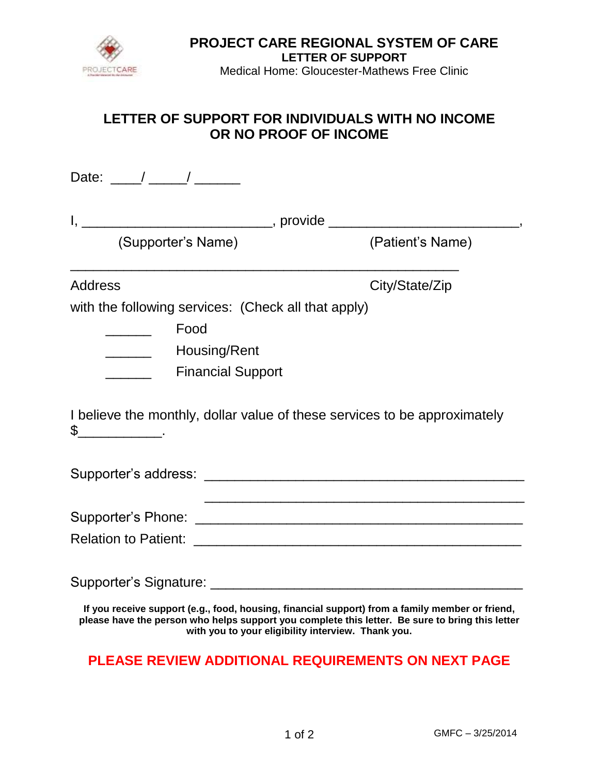

#### **PROJECT CARE REGIONAL SYSTEM OF CARE LETTER OF SUPPORT**

Medical Home: Gloucester-Mathews Free Clinic

# **LETTER OF SUPPORT FOR INDIVIDUALS WITH NO INCOME OR NO PROOF OF INCOME**

Date: \_\_\_\_/ \_\_\_\_\_/ \_\_\_\_\_\_

| (Supporter's Name)                                                                         | (Patient's Name) |
|--------------------------------------------------------------------------------------------|------------------|
| <b>Address</b>                                                                             | City/State/Zip   |
| with the following services: (Check all that apply)                                        |                  |
| Food                                                                                       |                  |
| Housing/Rent                                                                               |                  |
| <b>Financial Support</b>                                                                   |                  |
| I believe the monthly, dollar value of these services to be approximately<br>$\frac{1}{2}$ |                  |
|                                                                                            |                  |
|                                                                                            |                  |
|                                                                                            |                  |
|                                                                                            |                  |
|                                                                                            |                  |

**If you receive support (e.g., food, housing, financial support) from a family member or friend, please have the person who helps support you complete this letter. Be sure to bring this letter with you to your eligibility interview. Thank you.**

# **PLEASE REVIEW ADDITIONAL REQUIREMENTS ON NEXT PAGE**